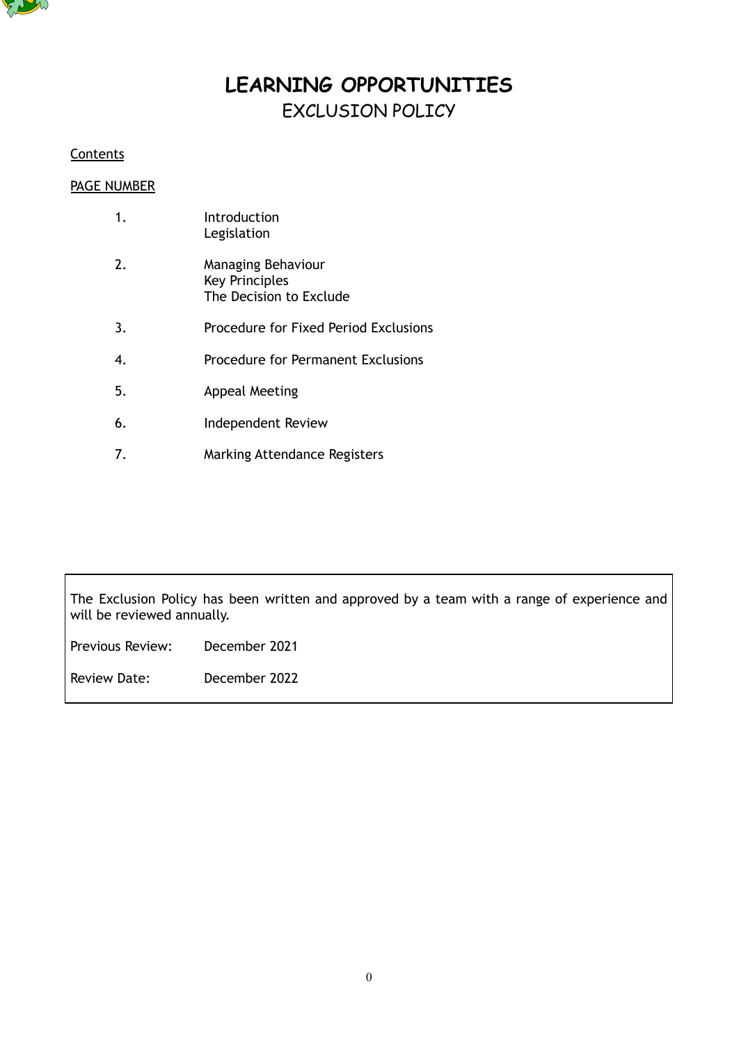

# **LEARNING OPPORTUNITIES** EXCLUSION POLICY

# **Contents**

# PAGE NUMBER

|    | Introduction<br>Legislation                                            |
|----|------------------------------------------------------------------------|
| 2. | Managing Behaviour<br><b>Key Principles</b><br>The Decision to Exclude |
| 3. | Procedure for Fixed Period Exclusions                                  |
| 4. | <b>Procedure for Permanent Exclusions</b>                              |
| 5. | Appeal Meeting                                                         |
| 6. | Independent Review                                                     |

7. Marking Attendance Registers

The Exclusion Policy has been written and approved by a team with a range of experience and will be reviewed annually.

Previous Review: December 2021

Review Date: December 2022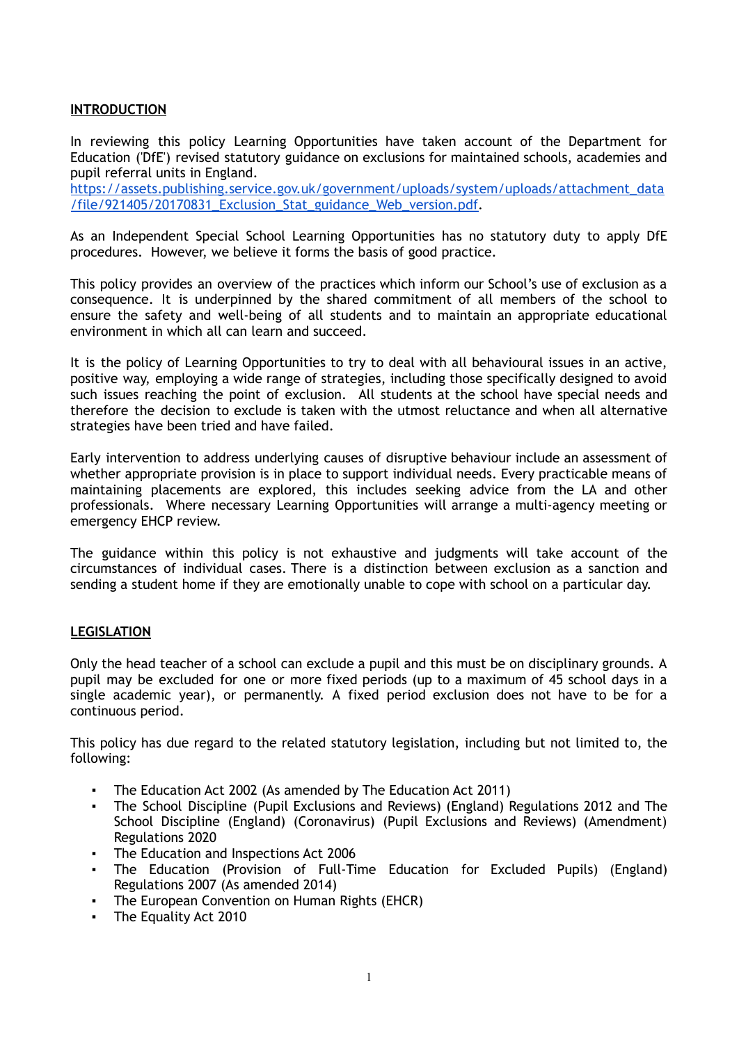## **INTRODUCTION**

In reviewing this policy Learning Opportunities have taken account of the Department for Education ('DfE') revised statutory guidance on exclusions for maintained schools, academies and pupil referral units in England.

[https://assets.publishing.service.gov.uk/government/uploads/system/uploads/attachment\\_data](https://assets.publishing.service.gov.uk/government/uploads/system/uploads/attachment_data/file/921405/20170831_Exclusion_Stat_guidance_Web_version.pdf) [/file/921405/20170831\\_Exclusion\\_Stat\\_guidance\\_Web\\_version.pdf.](https://assets.publishing.service.gov.uk/government/uploads/system/uploads/attachment_data/file/921405/20170831_Exclusion_Stat_guidance_Web_version.pdf)

As an Independent Special School Learning Opportunities has no statutory duty to apply DfE procedures. However, we believe it forms the basis of good practice.

This policy provides an overview of the practices which inform our School's use of exclusion as a consequence. It is underpinned by the shared commitment of all members of the school to ensure the safety and well-being of all students and to maintain an appropriate educational environment in which all can learn and succeed.

It is the policy of Learning Opportunities to try to deal with all behavioural issues in an active, positive way, employing a wide range of strategies, including those specifically designed to avoid such issues reaching the point of exclusion. All students at the school have special needs and therefore the decision to exclude is taken with the utmost reluctance and when all alternative strategies have been tried and have failed.

Early intervention to address underlying causes of disruptive behaviour include an assessment of whether appropriate provision is in place to support individual needs. Every practicable means of maintaining placements are explored, this includes seeking advice from the LA and other professionals. Where necessary Learning Opportunities will arrange a multi-agency meeting or emergency EHCP review.

The guidance within this policy is not exhaustive and judgments will take account of the circumstances of individual cases. There is a distinction between exclusion as a sanction and sending a student home if they are emotionally unable to cope with school on a particular day.

#### **LEGISLATION**

Only the head teacher of a school can exclude a pupil and this must be on disciplinary grounds. A pupil may be excluded for one or more fixed periods (up to a maximum of 45 school days in a single academic year), or permanently. A fixed period exclusion does not have to be for a continuous period.

This policy has due regard to the related statutory legislation, including but not limited to, the following:

- The Education Act 2002 (As amended by The Education Act 2011)
- [The](http://www.legislation.gov.uk/uksi/2020/543/contents/made) School Discipline (Pupil Exclusions and Reviews) (England) Regulations 2012 and The School Discipline (England) (Coronavirus) (Pupil Exclusions and Reviews) [\(Amendment\)](http://www.legislation.gov.uk/uksi/2020/543/contents/made) [Regulations](http://www.legislation.gov.uk/uksi/2020/543/contents/made) 2020
- The Education and Inspections Act 2006
- The Education (Provision of Full-Time Education for Excluded Pupils) (England) Regulations 2007 (As amended 2014)
- The European Convention on Human Rights (EHCR)
- The Equality Act 2010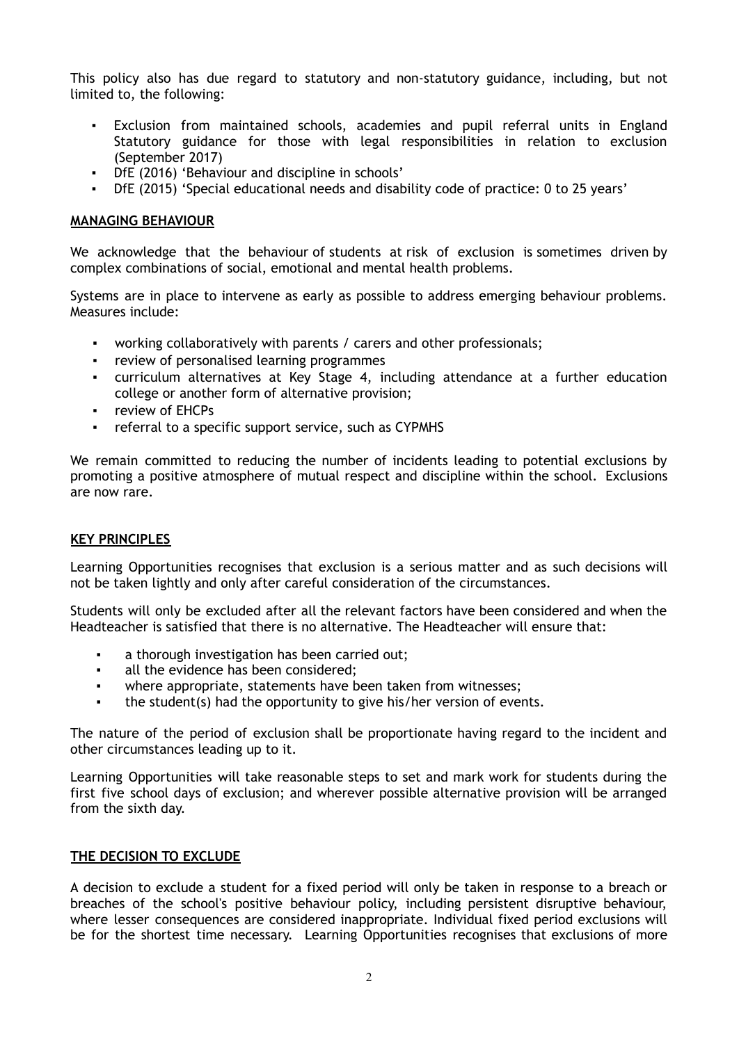This policy also has due regard to statutory and non-statutory guidance, including, but not limited to, the following:

- Exclusion from maintained schools, academies and pupil referral units in England Statutory guidance for those with legal responsibilities in relation to exclusion (September 2017)
- DfE (2016) 'Behaviour and discipline in schools'
- DfE (2015) 'Special educational needs and disability code of practice: 0 to 25 years'

## **MANAGING BEHAVIOUR**

We acknowledge that the behaviour of students at risk of exclusion is sometimes driven by complex combinations of social, emotional and mental health problems.

Systems are in place to intervene as early as possible to address emerging behaviour problems. Measures include:

- working collaboratively with parents / carers and other professionals;
- review of personalised learning programmes
- curriculum alternatives at Key Stage 4, including attendance at a further education college or another form of alternative provision;
- review of EHCPs
- referral to a specific support service, such as CYPMHS

We remain committed to reducing the number of incidents leading to potential exclusions by promoting a positive atmosphere of mutual respect and discipline within the school. Exclusions are now rare.

#### **KEY PRINCIPLES**

Learning Opportunities recognises that exclusion is a serious matter and as such decisions will not be taken lightly and only after careful consideration of the circumstances.

Students will only be excluded after all the relevant factors have been considered and when the Headteacher is satisfied that there is no alternative. The Headteacher will ensure that:

- a thorough investigation has been carried out;
- all the evidence has been considered;
- where appropriate, statements have been taken from witnesses;
- the student(s) had the opportunity to give his/her version of events.

The nature of the period of exclusion shall be proportionate having regard to the incident and other circumstances leading up to it.

Learning Opportunities will take reasonable steps to set and mark work for students during the first five school days of exclusion; and wherever possible alternative provision will be arranged from the sixth day.

#### **THE DECISION TO EXCLUDE**

A decision to exclude a student for a fixed period will only be taken in response to a breach or breaches of the school's positive behaviour policy, including persistent disruptive behaviour, where lesser consequences are considered inappropriate. Individual fixed period exclusions will be for the shortest time necessary. Learning Opportunities recognises that exclusions of more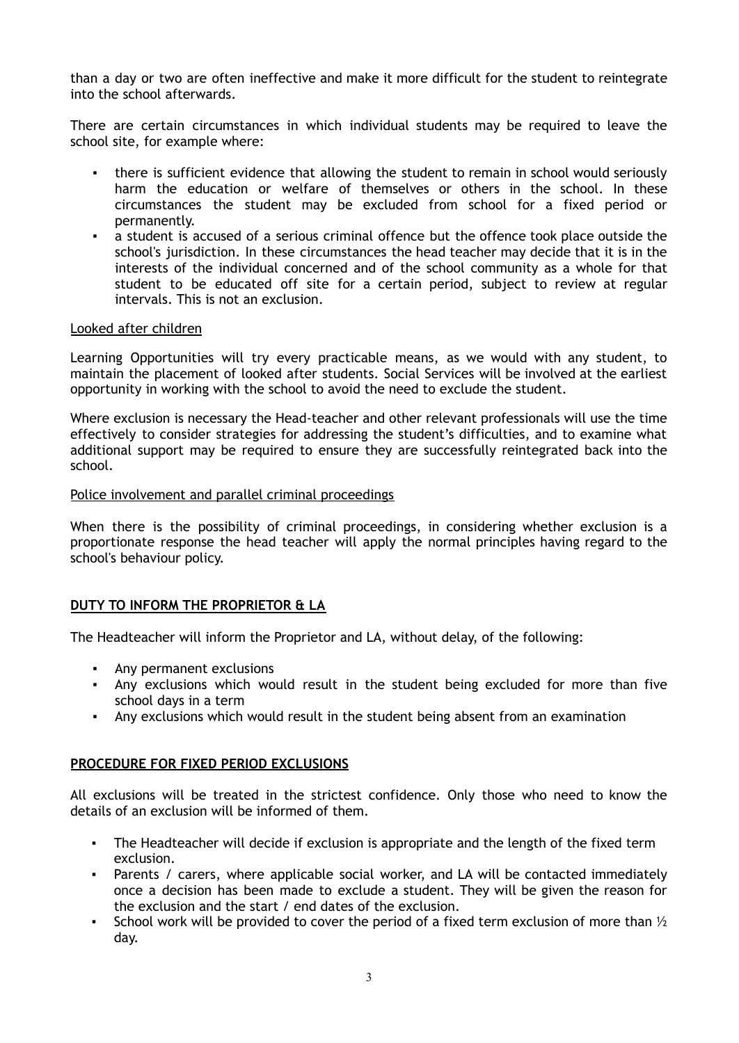than a day or two are often ineffective and make it more difficult for the student to reintegrate into the school afterwards.

There are certain circumstances in which individual students may be required to leave the school site, for example where:

- there is sufficient evidence that allowing the student to remain in school would seriously harm the education or welfare of themselves or others in the school. In these circumstances the student may be excluded from school for a fixed period or permanently.
- a student is accused of a serious criminal offence but the offence took place outside the school's jurisdiction. In these circumstances the head teacher may decide that it is in the interests of the individual concerned and of the school community as a whole for that student to be educated off site for a certain period, subject to review at regular intervals. This is not an exclusion.

## Looked after children

Learning Opportunities will try every practicable means, as we would with any student, to maintain the placement of looked after students. Social Services will be involved at the earliest opportunity in working with the school to avoid the need to exclude the student.

Where exclusion is necessary the Head-teacher and other relevant professionals will use the time effectively to consider strategies for addressing the student's difficulties, and to examine what additional support may be required to ensure they are successfully reintegrated back into the school.

#### Police involvement and parallel criminal proceedings

When there is the possibility of criminal proceedings, in considering whether exclusion is a proportionate response the head teacher will apply the normal principles having regard to the school's behaviour policy.

## **DUTY TO INFORM THE PROPRIETOR & LA**

The Headteacher will inform the Proprietor and LA, without delay, of the following:

- Any permanent exclusions
- Any exclusions which would result in the student being excluded for more than five school days in a term
- Any exclusions which would result in the student being absent from an examination

#### **PROCEDURE FOR FIXED PERIOD EXCLUSIONS**

All exclusions will be treated in the strictest confidence. Only those who need to know the details of an exclusion will be informed of them.

- The Headteacher will decide if exclusion is appropriate and the length of the fixed term exclusion.
- Parents / carers, where applicable social worker, and LA will be contacted immediately once a decision has been made to exclude a student. They will be given the reason for the exclusion and the start / end dates of the exclusion.
- **•** School work will be provided to cover the period of a fixed term exclusion of more than  $\frac{1}{2}$ day.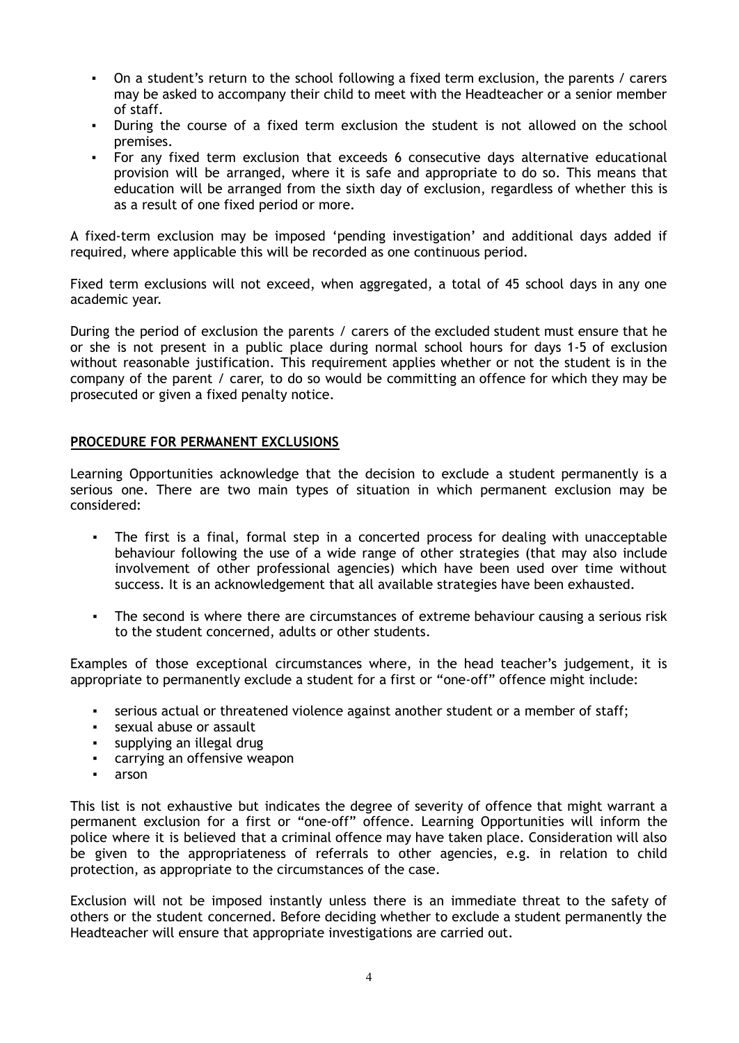- On a student's return to the school following a fixed term exclusion, the parents / carers may be asked to accompany their child to meet with the Headteacher or a senior member of staff.
- During the course of a fixed term exclusion the student is not allowed on the school premises.
- For any fixed term exclusion that exceeds 6 consecutive days alternative educational provision will be arranged, where it is safe and appropriate to do so. This means that education will be arranged from the sixth day of exclusion, regardless of whether this is as a result of one fixed period or more.

A fixed-term exclusion may be imposed 'pending investigation' and additional days added if required, where applicable this will be recorded as one continuous period.

Fixed term exclusions will not exceed, when aggregated, a total of 45 school days in any one academic year.

During the period of exclusion the parents / carers of the excluded student must ensure that he or she is not present in a public place during normal school hours for days 1-5 of exclusion without reasonable justification. This requirement applies whether or not the student is in the company of the parent / carer, to do so would be committing an offence for which they may be prosecuted or given a fixed penalty notice.

## **PROCEDURE FOR PERMANENT EXCLUSIONS**

Learning Opportunities acknowledge that the decision to exclude a student permanently is a serious one. There are two main types of situation in which permanent exclusion may be considered:

- The first is a final, formal step in a concerted process for dealing with unacceptable behaviour following the use of a wide range of other strategies (that may also include involvement of other professional agencies) which have been used over time without success. It is an acknowledgement that all available strategies have been exhausted.
- The second is where there are circumstances of extreme behaviour causing a serious risk to the student concerned, adults or other students.

Examples of those exceptional circumstances where, in the head teacher's judgement, it is appropriate to permanently exclude a student for a first or "one-off" offence might include:

- serious actual or threatened violence against another student or a member of staff;
- sexual abuse or assault
- supplying an illegal drug
- carrying an offensive weapon
- arson

This list is not exhaustive but indicates the degree of severity of offence that might warrant a permanent exclusion for a first or "one-off" offence. Learning Opportunities will inform the police where it is believed that a criminal offence may have taken place. Consideration will also be given to the appropriateness of referrals to other agencies, e.g. in relation to child protection, as appropriate to the circumstances of the case.

Exclusion will not be imposed instantly unless there is an immediate threat to the safety of others or the student concerned. Before deciding whether to exclude a student permanently the Headteacher will ensure that appropriate investigations are carried out.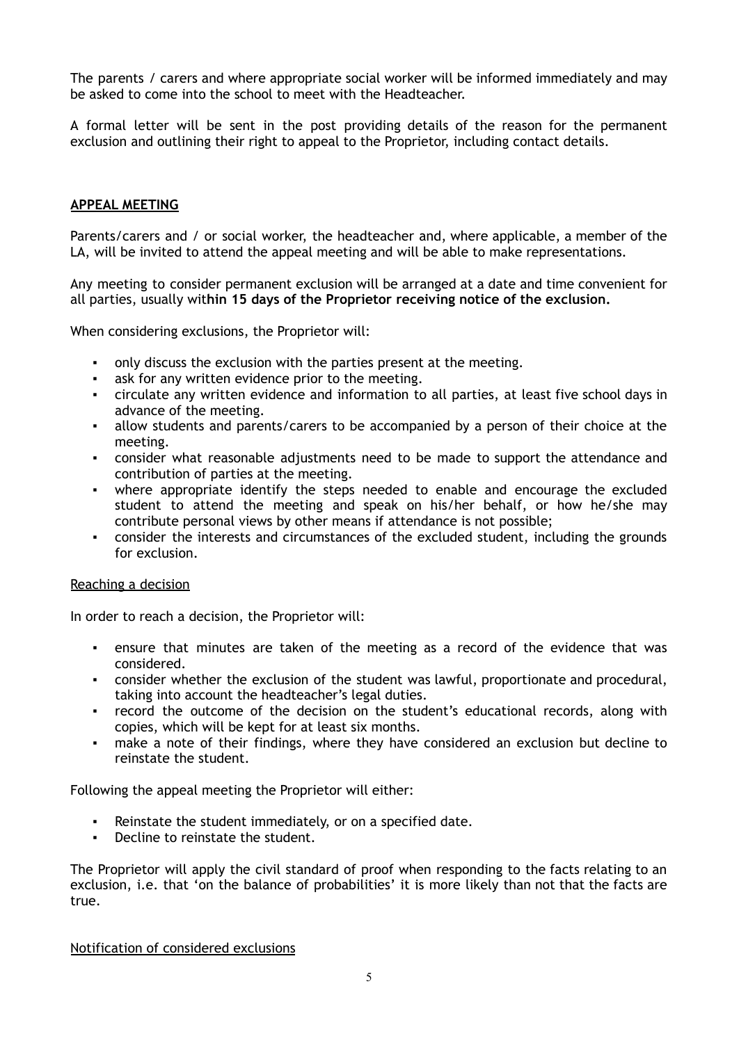The parents / carers and where appropriate social worker will be informed immediately and may be asked to come into the school to meet with the Headteacher.

A formal letter will be sent in the post providing details of the reason for the permanent exclusion and outlining their right to appeal to the Proprietor, including contact details.

## **APPEAL MEETING**

Parents/carers and / or social worker, the headteacher and, where applicable, a member of the LA, will be invited to attend the appeal meeting and will be able to make representations.

Any meeting to consider permanent exclusion will be arranged at a date and time convenient for all parties, usually wit**hin 15 days of the Proprietor receiving notice of the exclusion.**

When considering exclusions, the Proprietor will:

- only discuss the exclusion with the parties present at the meeting.
- ask for any written evidence prior to the meeting.
- circulate any written evidence and information to all parties, at least five school days in advance of the meeting.
- allow students and parents/carers to be accompanied by a person of their choice at the meeting.
- consider what reasonable adjustments need to be made to support the attendance and contribution of parties at the meeting.
- where appropriate identify the steps needed to enable and encourage the excluded student to attend the meeting and speak on his/her behalf, or how he/she may contribute personal views by other means if attendance is not possible;
- consider the interests and circumstances of the excluded student, including the grounds for exclusion.

#### Reaching a decision

In order to reach a decision, the Proprietor will:

- ensure that minutes are taken of the meeting as a record of the evidence that was considered.
- consider whether the exclusion of the student was lawful, proportionate and procedural, taking into account the headteacher's legal duties.
- record the outcome of the decision on the student's educational records, along with copies, which will be kept for at least six months.
- make a note of their findings, where they have considered an exclusion but decline to reinstate the student.

Following the appeal meeting the Proprietor will either:

- Reinstate the student immediately, or on a specified date.
- Decline to reinstate the student.

The Proprietor will apply the civil standard of proof when responding to the facts relating to an exclusion, i.e. that 'on the balance of probabilities' it is more likely than not that the facts are true.

Notification of considered exclusions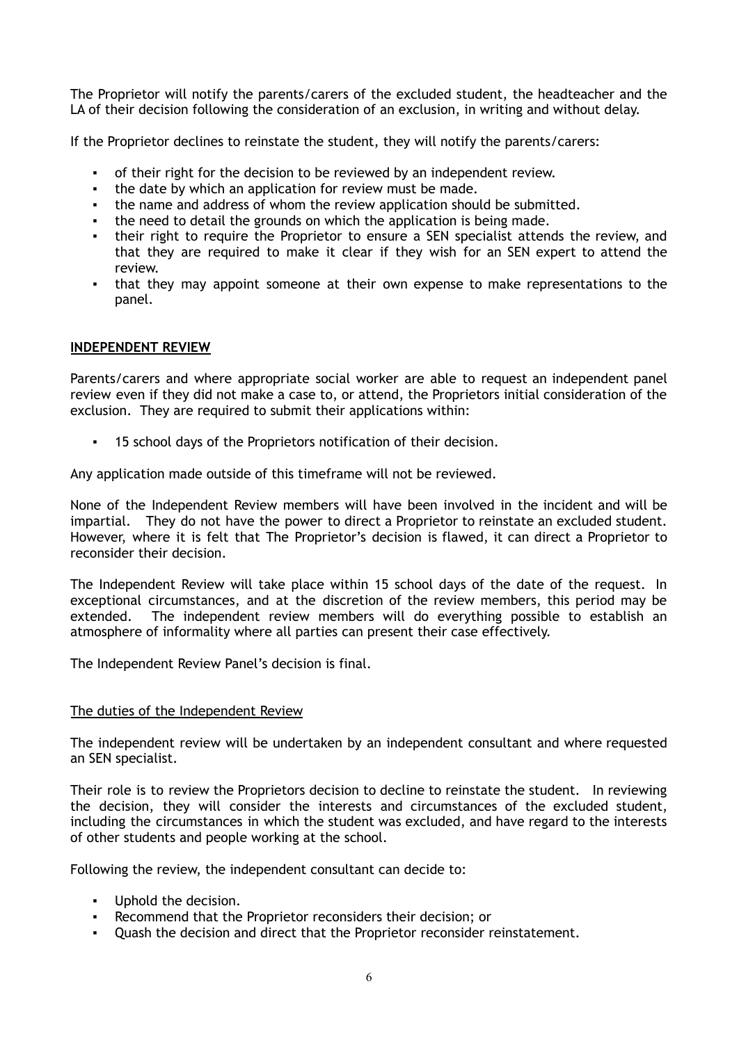The Proprietor will notify the parents/carers of the excluded student, the headteacher and the LA of their decision following the consideration of an exclusion, in writing and without delay.

If the Proprietor declines to reinstate the student, they will notify the parents/carers:

- of their right for the decision to be reviewed by an independent review.
- the date by which an application for review must be made.
- the name and address of whom the review application should be submitted.
- the need to detail the grounds on which the application is being made.
- their right to require the Proprietor to ensure a SEN specialist attends the review, and that they are required to make it clear if they wish for an SEN expert to attend the review.
- that they may appoint someone at their own expense to make representations to the panel.

## **INDEPENDENT REVIEW**

Parents/carers and where appropriate social worker are able to request an independent panel review even if they did not make a case to, or attend, the Proprietors initial consideration of the exclusion. They are required to submit their applications within:

15 school days of the Proprietors notification of their decision.

Any application made outside of this timeframe will not be reviewed.

None of the Independent Review members will have been involved in the incident and will be impartial. They do not have the power to direct a Proprietor to reinstate an excluded student. However, where it is felt that The Proprietor's decision is flawed, it can direct a Proprietor to reconsider their decision.

The Independent Review will take place within 15 school days of the date of the request. In exceptional circumstances, and at the discretion of the review members, this period may be extended. The independent review members will do everything possible to establish an atmosphere of informality where all parties can present their case effectively.

The Independent Review Panel's decision is final.

#### The duties of the Independent Review

The independent review will be undertaken by an independent consultant and where requested an SEN specialist.

Their role is to review the Proprietors decision to decline to reinstate the student. In reviewing the decision, they will consider the interests and circumstances of the excluded student, including the circumstances in which the student was excluded, and have regard to the interests of other students and people working at the school.

Following the review, the independent consultant can decide to:

- Uphold the decision.
- Recommend that the Proprietor reconsiders their decision; or
- Quash the decision and direct that the Proprietor reconsider reinstatement.